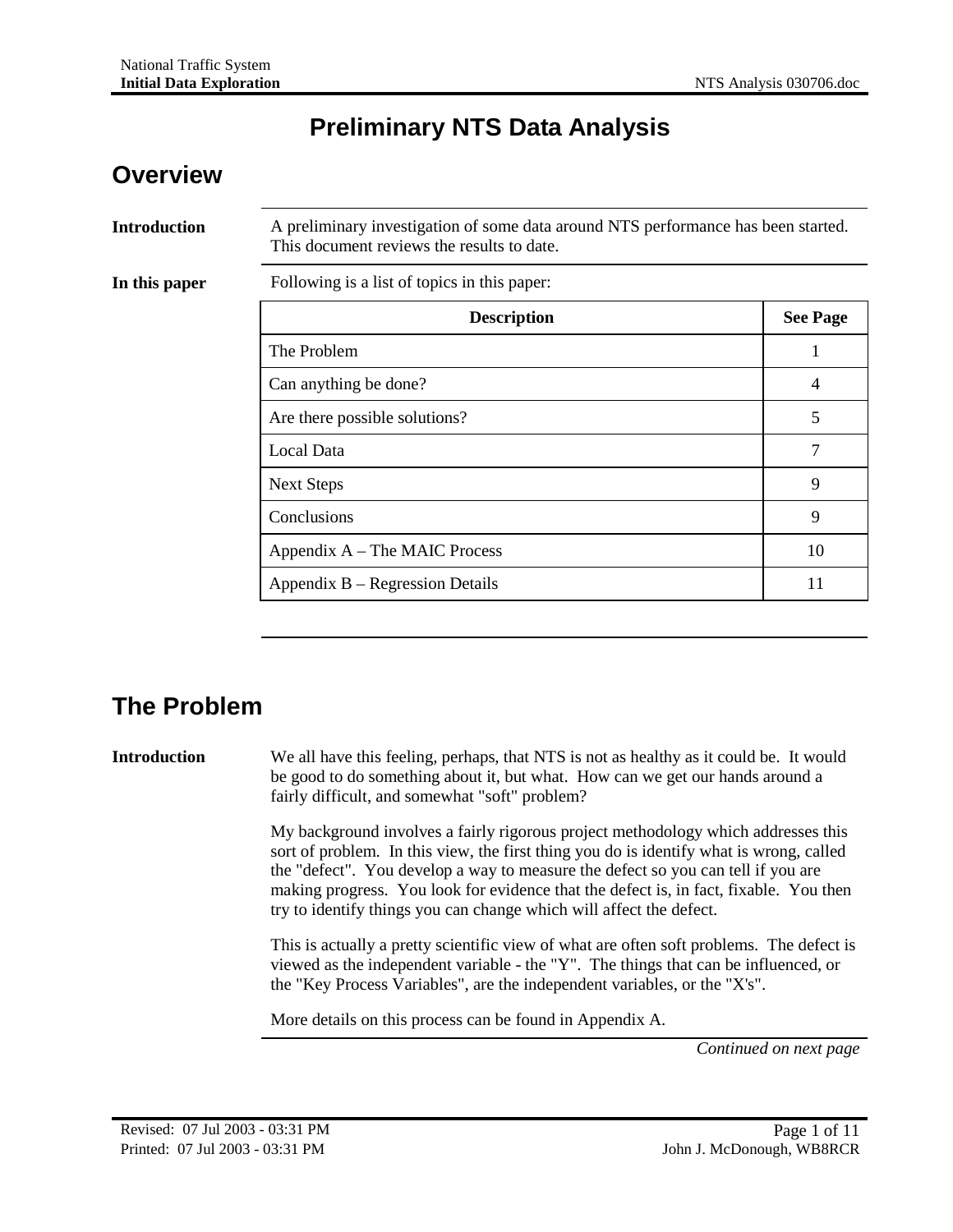## **Preliminary NTS Data Analysis**

#### **Overview**

| <b>Introduction</b> | A preliminary investigation of some data around NTS performance has been started.<br>This document reviews the results to date. |                 |  |
|---------------------|---------------------------------------------------------------------------------------------------------------------------------|-----------------|--|
| In this paper       | Following is a list of topics in this paper:                                                                                    |                 |  |
|                     | <b>Description</b>                                                                                                              | <b>See Page</b> |  |
|                     | The Problem                                                                                                                     | 1               |  |
|                     | Can anything be done?                                                                                                           | 4               |  |
|                     | Are there possible solutions?                                                                                                   | 5               |  |
|                     | Local Data                                                                                                                      | 7               |  |
|                     | <b>Next Steps</b>                                                                                                               | 9               |  |
|                     | Conclusions                                                                                                                     | 9               |  |
|                     | Appendix A – The MAIC Process                                                                                                   | 10              |  |
|                     | Appendix B – Regression Details                                                                                                 | 11              |  |

## **The Problem**

**Introduction** We all have this feeling, perhaps, that NTS is not as healthy as it could be. It would be good to do something about it, but what. How can we get our hands around a fairly difficult, and somewhat "soft" problem?

> My background involves a fairly rigorous project methodology which addresses this sort of problem. In this view, the first thing you do is identify what is wrong, called the "defect". You develop a way to measure the defect so you can tell if you are making progress. You look for evidence that the defect is, in fact, fixable. You then try to identify things you can change which will affect the defect.

> This is actually a pretty scientific view of what are often soft problems. The defect is viewed as the independent variable - the "Y". The things that can be influenced, or the "Key Process Variables", are the independent variables, or the "X's".

More details on this process can be found in Appendix A.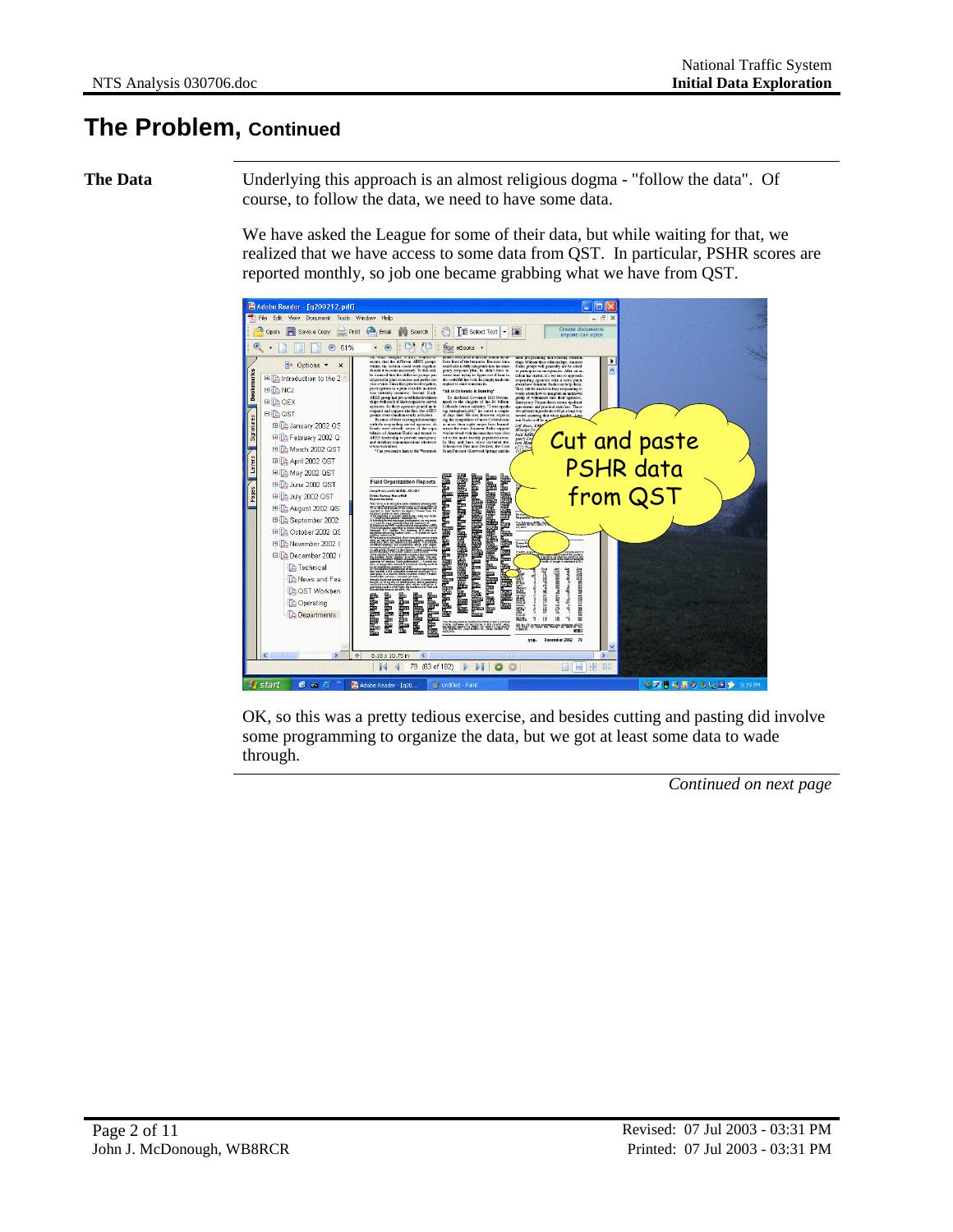#### **The Problem, Continued**

**The Data** Underlying this approach is an almost religious dogma - "follow the data". Of course, to follow the data, we need to have some data.

> We have asked the League for some of their data, but while waiting for that, we realized that we have access to some data from QST. In particular, PSHR scores are reported monthly, so job one became grabbing what we have from QST.



OK, so this was a pretty tedious exercise, and besides cutting and pasting did involve some programming to organize the data, but we got at least some data to wade through.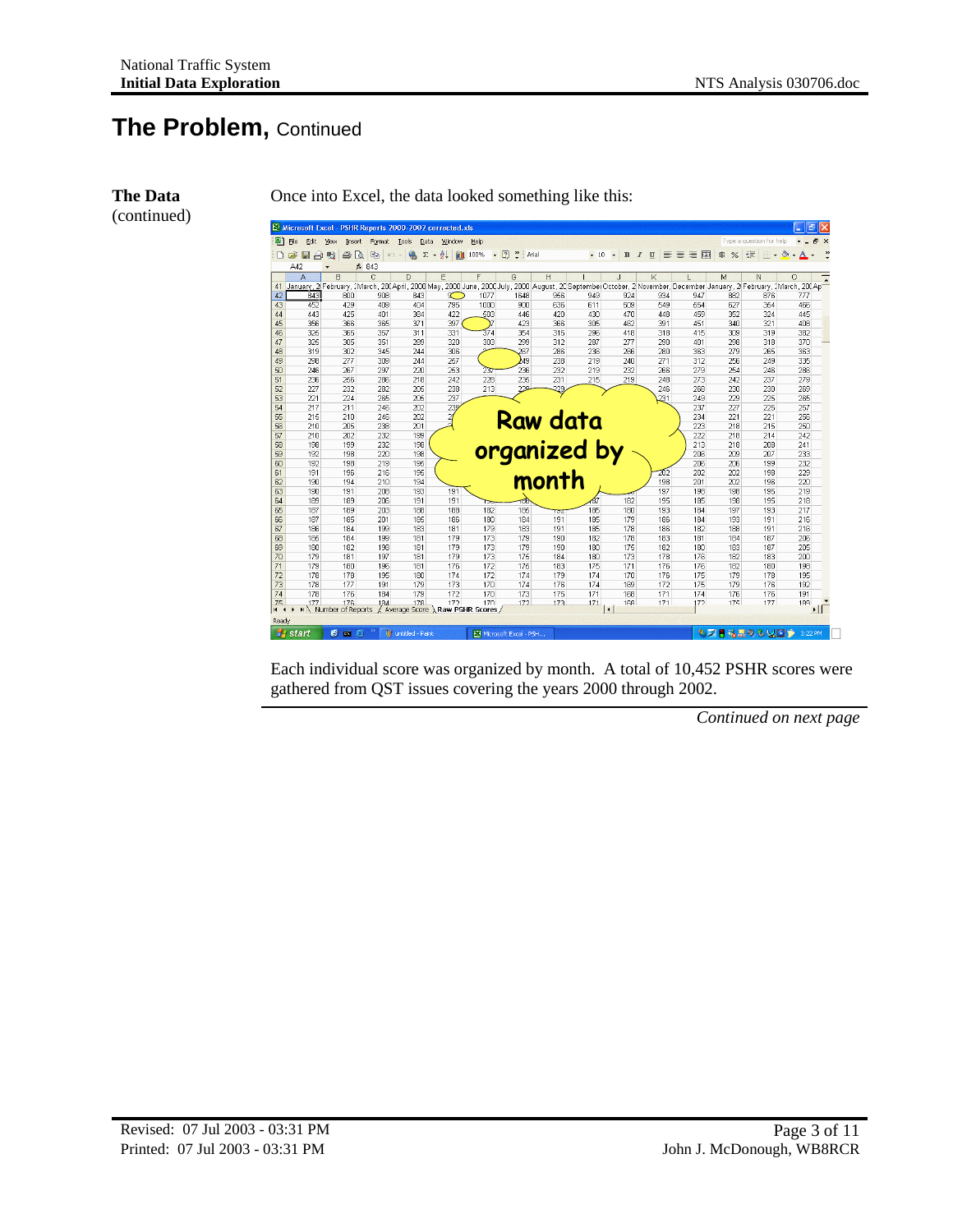**The Data** (continued)

#### **The Problem,** Continued



Once into Excel, the data looked something like this:

Each individual score was organized by month. A total of 10,452 PSHR scores were gathered from QST issues covering the years 2000 through 2002.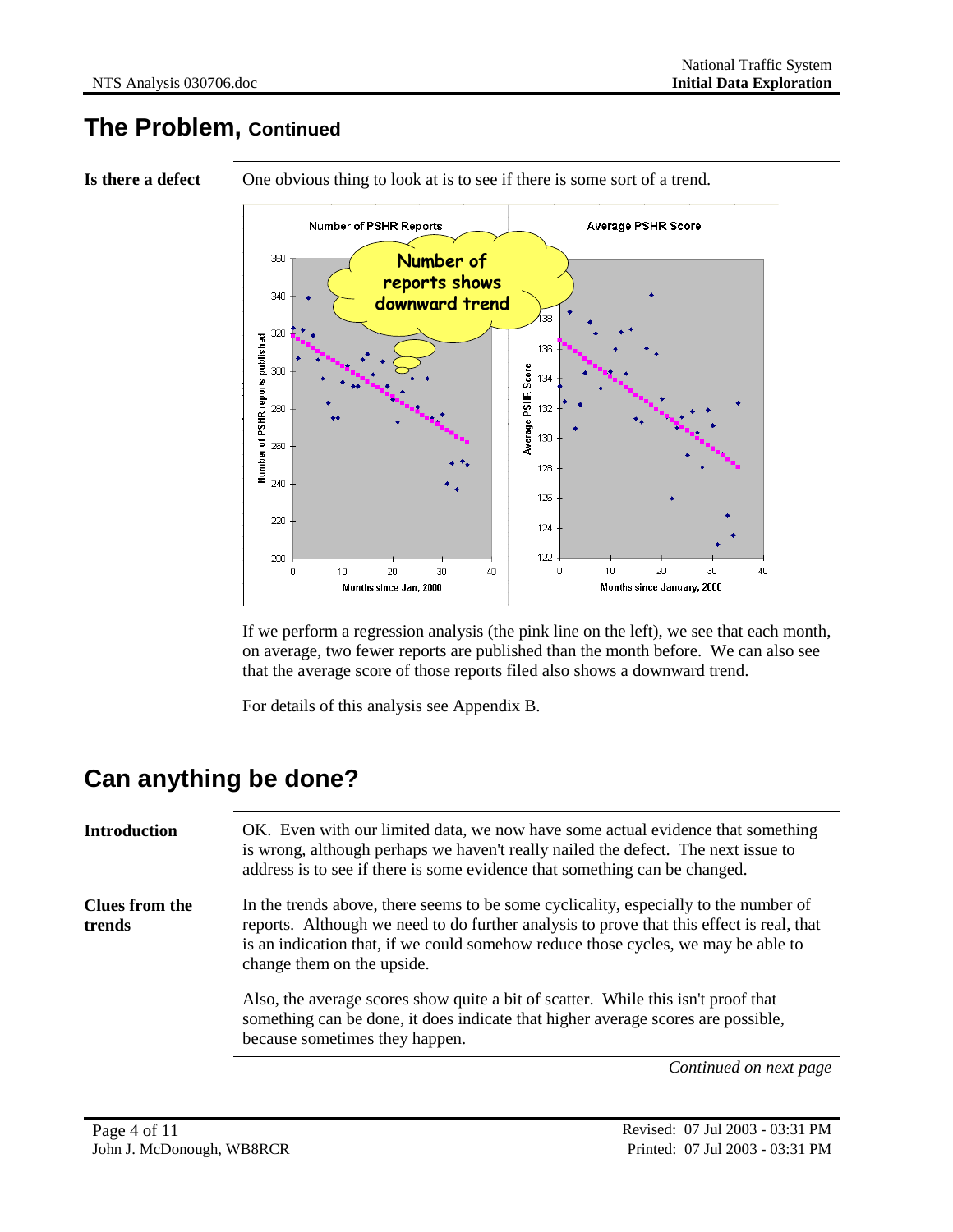#### **The Problem, Continued**

**Is there a defect** One obvious thing to look at is to see if there is some sort of a trend.



If we perform a regression analysis (the pink line on the left), we see that each month, on average, two fewer reports are published than the month before. We can also see that the average score of those reports filed also shows a downward trend.

For details of this analysis see Appendix B.

## **Can anything be done?**

| <b>Introduction</b>      | OK. Even with our limited data, we now have some actual evidence that something<br>is wrong, although perhaps we haven't really nailed the defect. The next issue to<br>address is to see if there is some evidence that something can be changed.                                                  |
|--------------------------|-----------------------------------------------------------------------------------------------------------------------------------------------------------------------------------------------------------------------------------------------------------------------------------------------------|
| Clues from the<br>trends | In the trends above, there seems to be some cyclicality, especially to the number of<br>reports. Although we need to do further analysis to prove that this effect is real, that<br>is an indication that, if we could somehow reduce those cycles, we may be able to<br>change them on the upside. |
|                          | Also, the average scores show quite a bit of scatter. While this isn't proof that<br>something can be done, it does indicate that higher average scores are possible,<br>because sometimes they happen.                                                                                             |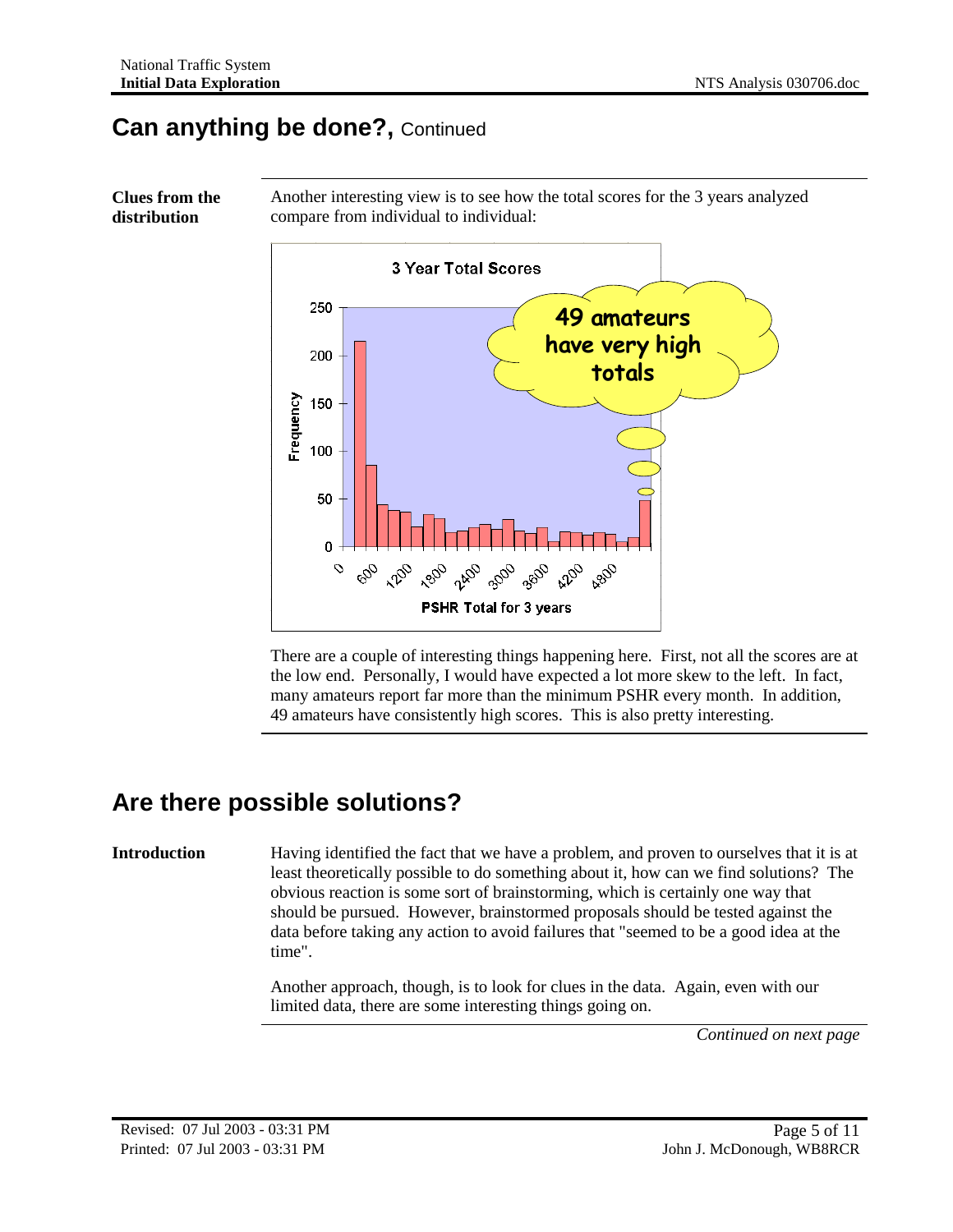**Clues from the distribution**

#### **Can anything be done?,** Continued



Another interesting view is to see how the total scores for the 3 years analyzed compare from individual to individual:

There are a couple of interesting things happening here. First, not all the scores are at the low end. Personally, I would have expected a lot more skew to the left. In fact, many amateurs report far more than the minimum PSHR every month. In addition, 49 amateurs have consistently high scores. This is also pretty interesting.

### **Are there possible solutions?**

**Introduction** Having identified the fact that we have a problem, and proven to ourselves that it is at least theoretically possible to do something about it, how can we find solutions? The obvious reaction is some sort of brainstorming, which is certainly one way that should be pursued. However, brainstormed proposals should be tested against the data before taking any action to avoid failures that "seemed to be a good idea at the time".

> Another approach, though, is to look for clues in the data. Again, even with our limited data, there are some interesting things going on.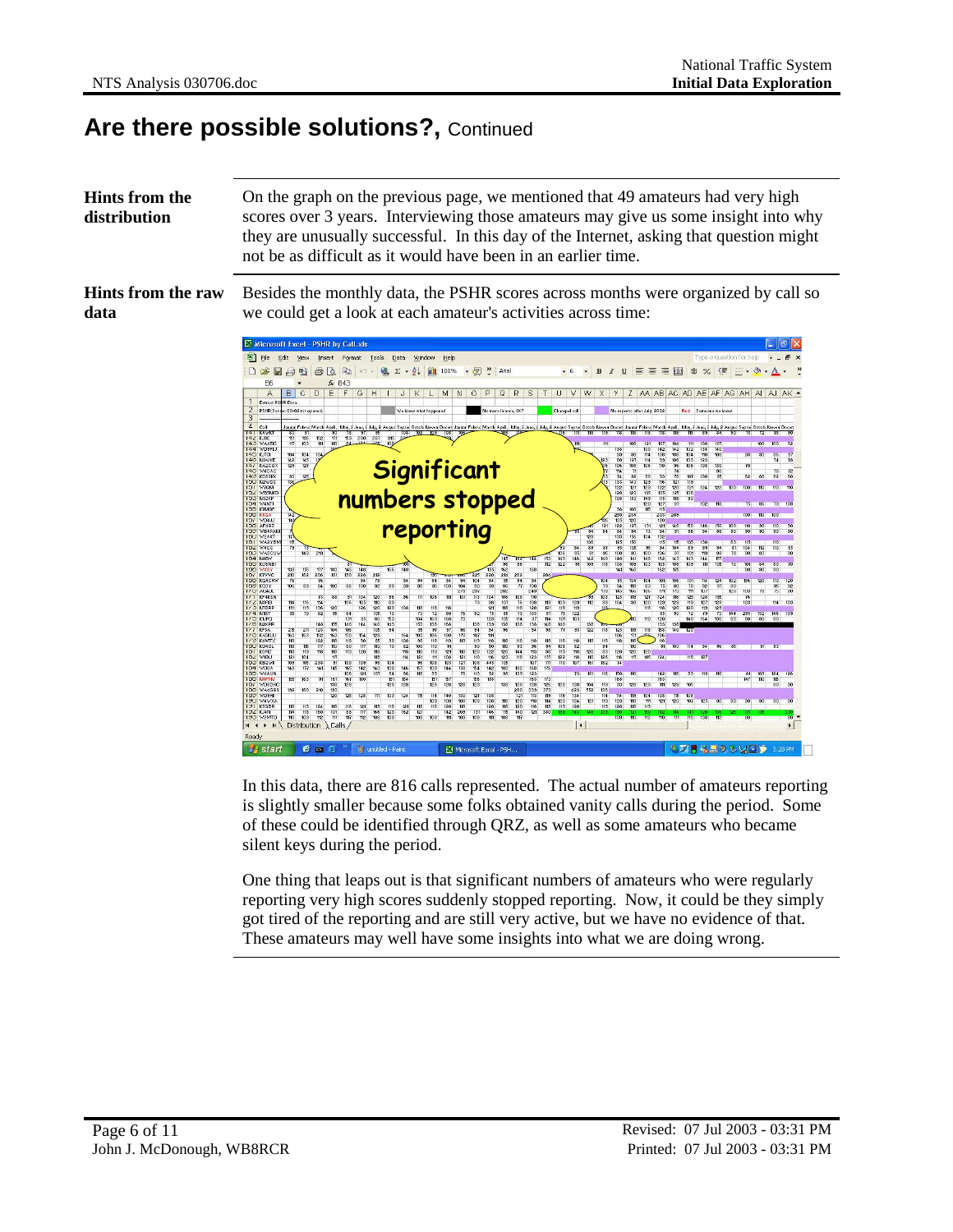#### **Are there possible solutions?,** Continued

**Hints from the distribution** On the graph on the previous page, we mentioned that 49 amateurs had very high scores over 3 years. Interviewing those amateurs may give us some insight into why they are unusually successful. In this day of the Internet, asking that question might not be as difficult as it would have been in an earlier time.

**Hints from the raw data**

Besides the monthly data, the PSHR scores across months were organized by call so we could get a look at each amateur's activities across time:



In this data, there are 816 calls represented. The actual number of amateurs reporting is slightly smaller because some folks obtained vanity calls during the period. Some of these could be identified through QRZ, as well as some amateurs who became silent keys during the period.

One thing that leaps out is that significant numbers of amateurs who were regularly reporting very high scores suddenly stopped reporting. Now, it could be they simply got tired of the reporting and are still very active, but we have no evidence of that. These amateurs may well have some insights into what we are doing wrong.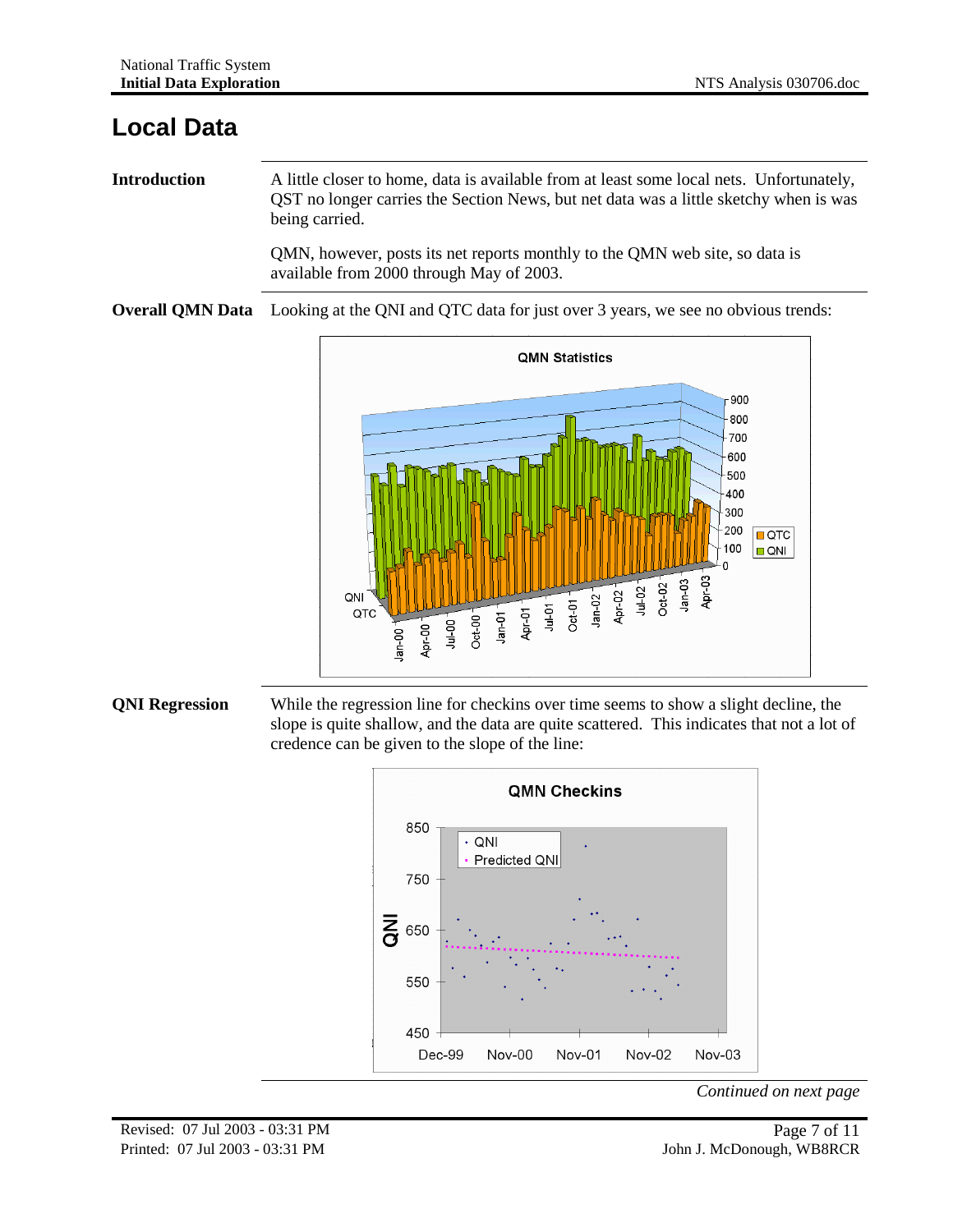#### **Local Data**

**Introduction** A little closer to home, data is available from at least some local nets. Unfortunately, QST no longer carries the Section News, but net data was a little sketchy when is was being carried.

> QMN, however, posts its net reports monthly to the QMN web site, so data is available from 2000 through May of 2003.

**Overall QMN Data** Looking at the QNI and QTC data for just over 3 years, we see no obvious trends:



#### **QNI Regression** While the regression line for checkins over time seems to show a slight decline, the slope is quite shallow, and the data are quite scattered. This indicates that not a lot of credence can be given to the slope of the line:

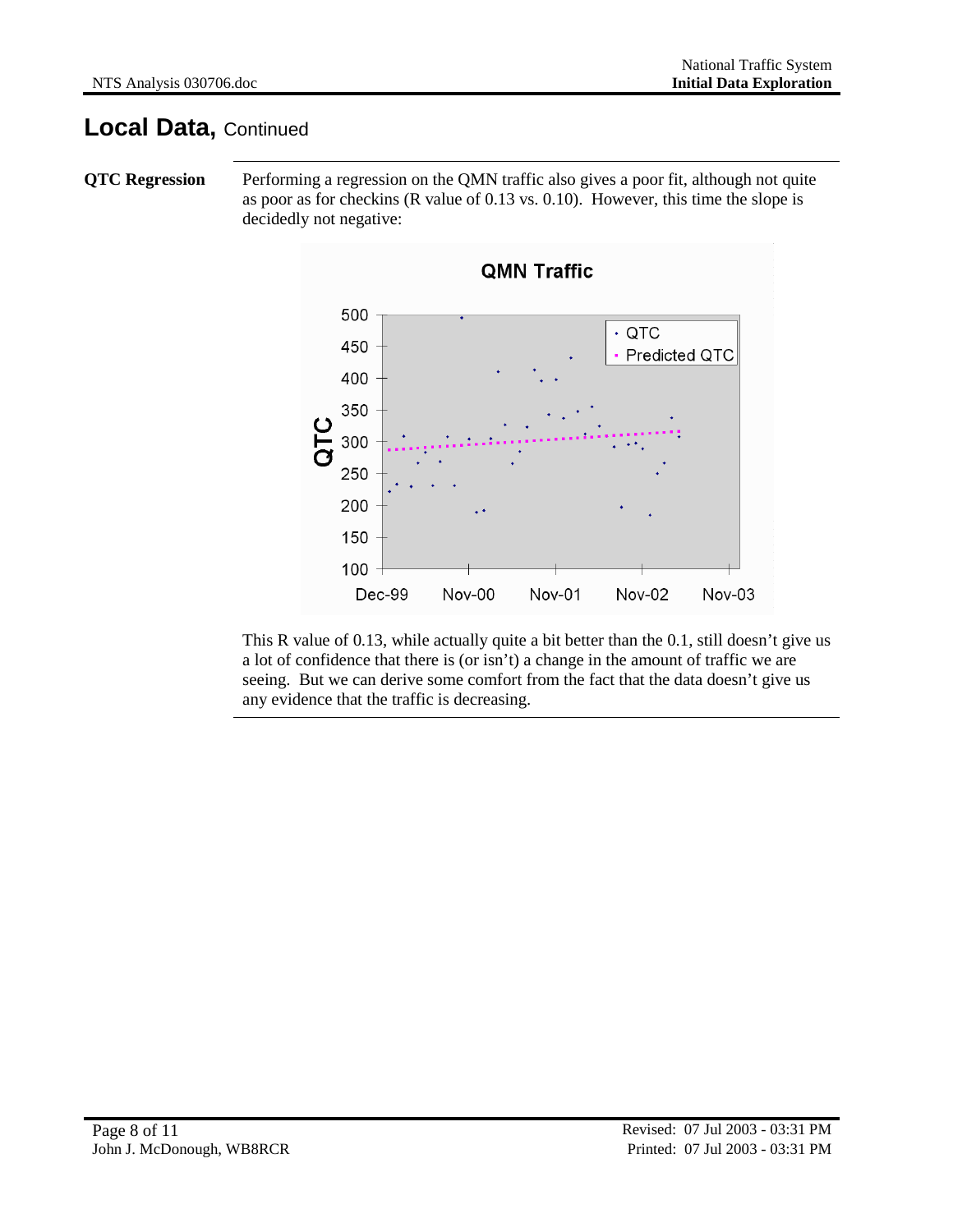#### **Local Data,** Continued

**QTC** Regression Performing a regression on the QMN traffic also gives a poor fit, although not quite as poor as for checkins (R value of 0.13 vs. 0.10). However, this time the slope is decidedly not negative:



This R value of 0.13, while actually quite a bit better than the 0.1, still doesn't give us a lot of confidence that there is (or isn't) a change in the amount of traffic we are seeing. But we can derive some comfort from the fact that the data doesn't give us any evidence that the traffic is decreasing.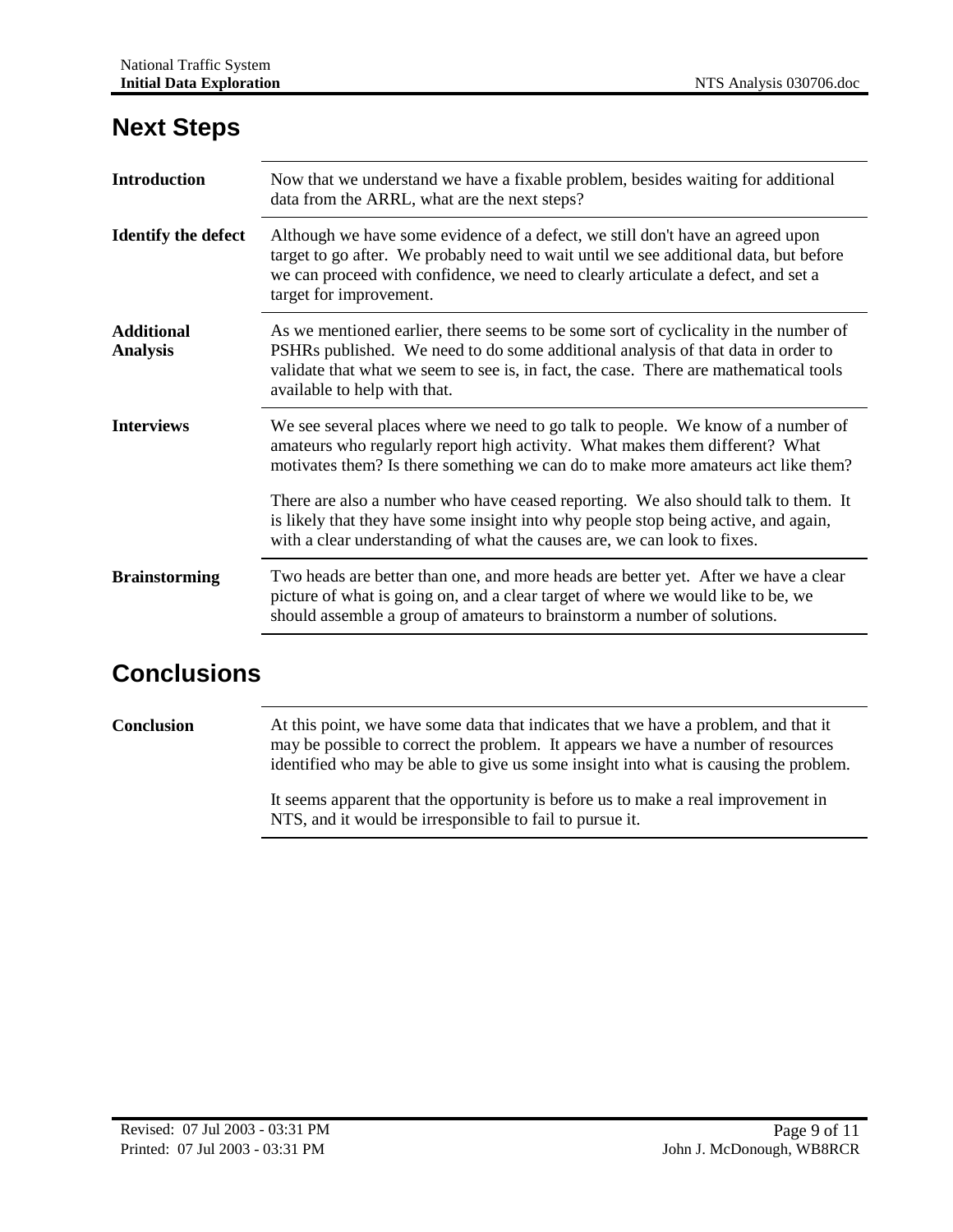| <b>Introduction</b>                  | Now that we understand we have a fixable problem, besides waiting for additional<br>data from the ARRL, what are the next steps?                                                                                                                                                                  |  |
|--------------------------------------|---------------------------------------------------------------------------------------------------------------------------------------------------------------------------------------------------------------------------------------------------------------------------------------------------|--|
| <b>Identify the defect</b>           | Although we have some evidence of a defect, we still don't have an agreed upon<br>target to go after. We probably need to wait until we see additional data, but before<br>we can proceed with confidence, we need to clearly articulate a defect, and set a<br>target for improvement.           |  |
| <b>Additional</b><br><b>Analysis</b> | As we mentioned earlier, there seems to be some sort of cyclicality in the number of<br>PSHRs published. We need to do some additional analysis of that data in order to<br>validate that what we seem to see is, in fact, the case. There are mathematical tools<br>available to help with that. |  |
| <b>Interviews</b>                    | We see several places where we need to go talk to people. We know of a number of<br>amateurs who regularly report high activity. What makes them different? What<br>motivates them? Is there something we can do to make more amateurs act like them?                                             |  |
|                                      | There are also a number who have ceased reporting. We also should talk to them. It<br>is likely that they have some insight into why people stop being active, and again,<br>with a clear understanding of what the causes are, we can look to fixes.                                             |  |
| <b>Brainstorming</b>                 | Two heads are better than one, and more heads are better yet. After we have a clear<br>picture of what is going on, and a clear target of where we would like to be, we<br>should assemble a group of amateurs to brainstorm a number of solutions.                                               |  |

#### **Next Steps**

## **Conclusions**

**Conclusion** At this point, we have some data that indicates that we have a problem, and that it may be possible to correct the problem. It appears we have a number of resources identified who may be able to give us some insight into what is causing the problem.

> It seems apparent that the opportunity is before us to make a real improvement in NTS, and it would be irresponsible to fail to pursue it.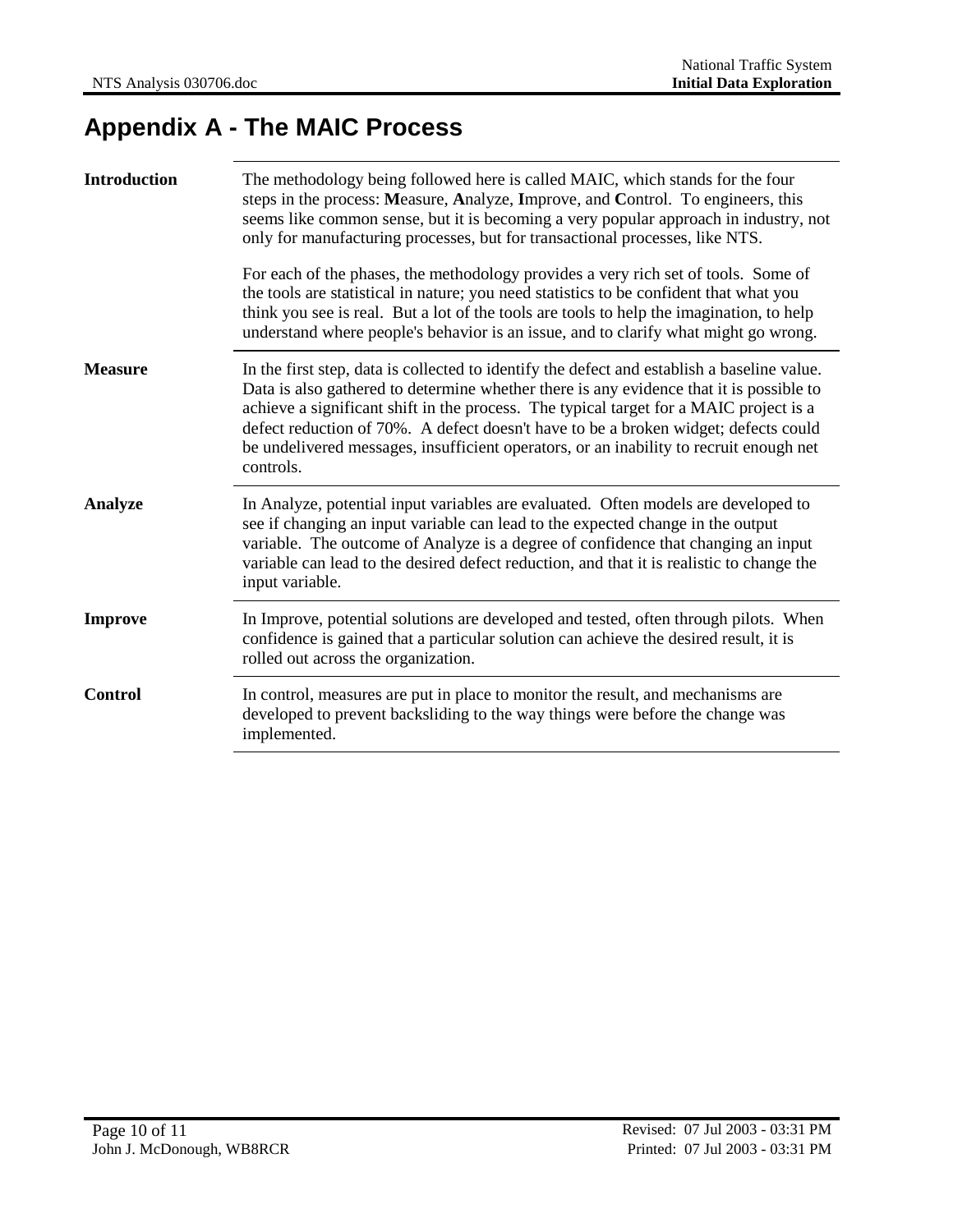## **Appendix A - The MAIC Process**

| <b>Introduction</b> | The methodology being followed here is called MAIC, which stands for the four<br>steps in the process: Measure, Analyze, Improve, and Control. To engineers, this<br>seems like common sense, but it is becoming a very popular approach in industry, not<br>only for manufacturing processes, but for transactional processes, like NTS.                                                                                                                                      |  |
|---------------------|--------------------------------------------------------------------------------------------------------------------------------------------------------------------------------------------------------------------------------------------------------------------------------------------------------------------------------------------------------------------------------------------------------------------------------------------------------------------------------|--|
|                     | For each of the phases, the methodology provides a very rich set of tools. Some of<br>the tools are statistical in nature; you need statistics to be confident that what you<br>think you see is real. But a lot of the tools are tools to help the imagination, to help<br>understand where people's behavior is an issue, and to clarify what might go wrong.                                                                                                                |  |
| <b>Measure</b>      | In the first step, data is collected to identify the defect and establish a baseline value.<br>Data is also gathered to determine whether there is any evidence that it is possible to<br>achieve a significant shift in the process. The typical target for a MAIC project is a<br>defect reduction of 70%. A defect doesn't have to be a broken widget; defects could<br>be undelivered messages, insufficient operators, or an inability to recruit enough net<br>controls. |  |
| <b>Analyze</b>      | In Analyze, potential input variables are evaluated. Often models are developed to<br>see if changing an input variable can lead to the expected change in the output<br>variable. The outcome of Analyze is a degree of confidence that changing an input<br>variable can lead to the desired defect reduction, and that it is realistic to change the<br>input variable.                                                                                                     |  |
| <b>Improve</b>      | In Improve, potential solutions are developed and tested, often through pilots. When<br>confidence is gained that a particular solution can achieve the desired result, it is<br>rolled out across the organization.                                                                                                                                                                                                                                                           |  |
| <b>Control</b>      | In control, measures are put in place to monitor the result, and mechanisms are<br>developed to prevent backsliding to the way things were before the change was<br>implemented.                                                                                                                                                                                                                                                                                               |  |